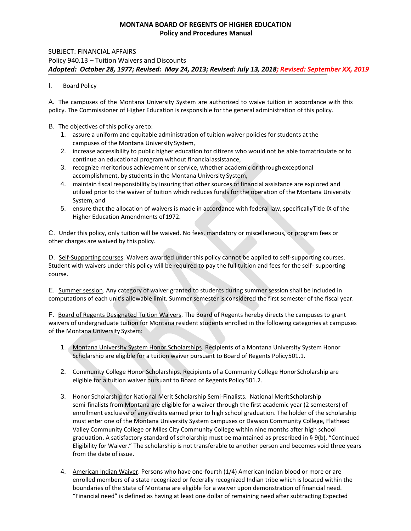# Policy 940.13 – Tuition Waivers and Discounts  *Adopted: October 28, 1977; Revised: May 24, 2013; Revised: July 13, 2018; Revised: September XX, 2019*  SUBJECT: FINANCIAL AFFAIRS

### I. Board Policy

 A. The campuses of the Montana University System are authorized to waive tuition in accordance with this policy. The Commissioner of Higher Education is responsible for the general administration of this policy.

#### B. The objectives of this policy are to:

- 1. assure a uniform and equitable administration of tuition waiver policies for students at the campuses of the Montana University System,
- 2. increase accessibility to public higher education for citizens who would not be able tomatriculate or to continue an educational program without financialassistance,
- 3. recognize meritorious achievement or service, whether academic or throughexceptional accomplishment, by students in the Montana University System,
- 4. maintain fiscal responsibility by insuring that other sources of financial assistance are explored and utilized prior to the waiver of tuition which reduces funds for the operation of the Montana University System, and
- 5. ensure that the allocation of waivers is made in accordance with federal law, specificallyTitle IX of the Higher Education Amendments of 1972.

C. Under this policy, only tuition will be waived. No fees, mandatory or miscellaneous, or program fees or other charges are waived by this policy.

D. Self-Supporting courses. Waivers awarded under this policy cannot be applied to self-supporting courses. Student with waivers under this policy will be required to pay the full tuition and fees for the self- supporting course.

E. Summer session. Any category of waiver granted to students during summer session shall be included in computations of each unit's allowable limit. Summer semester is considered the first semester of the fiscal year.

F. Board of Regents Designated Tuition Waivers. The Board of Regents hereby directs the campuses to grant waivers of undergraduate tuition for Montana resident students enrolled in the following categories at campuses of the Montana University System:

- 1. Montana University System Honor Scholarships. Recipients of a Montana University System Honor Scholarship are eligible for a tuition waiver pursuant to Board of Regents Policy501.1.
- 2. Community College Honor Scholarships. Recipients of a Community College Honor Scholarship are eligible for a tuition waiver pursuant to Board of Regents Policy 501.2.
- 3. Honor Scholarship for National Merit Scholarship Semi-Finalists. National MeritScholarship semi-finalists from Montana are eligible for a waiver through the first academic year (2 semesters) of enrollment exclusive of any credits earned prior to high school graduation. The holder of the scholarship must enter one of the Montana University System campuses or Dawson Community College, Flathead Valley Community College or Miles City Community College within nine months after high school graduation. A satisfactory standard of scholarship must be maintained as prescribed in § 9(b), "Continued Eligibility for Waiver." The scholarship is not transferable to another person and becomes void three years from the date of issue.
- 4. American Indian Waiver. Persons who have one-fourth (1/4) American Indian blood or more or are enrolled members of a state recognized or federally recognized Indian tribe which is located within the boundaries of the State of Montana are eligible for a waiver upon demonstration of financial need. "Financial need" is defined as having at least one dollar of remaining need after subtracting Expected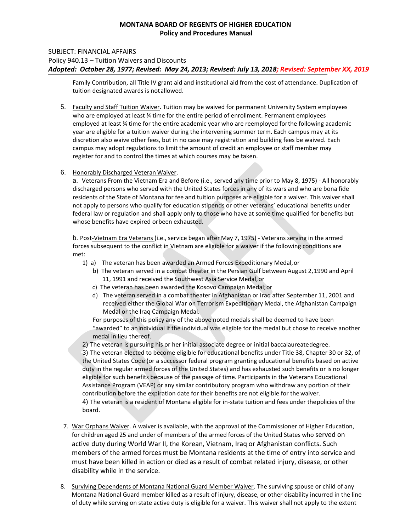## Policy 940.13 – Tuition Waivers and Discounts  *Adopted: October 28, 1977; Revised: May 24, 2013; Revised: July 13, 2018; Revised: September XX, 2019*  SUBJECT: FINANCIAL AFFAIRS

Family Contribution, all Title IV grant aid and institutional aid from the cost of attendance. Duplication of tuition designated awards is notallowed.

- 5. Faculty and Staff Tuition Waiver. Tuition may be waived for permanent University System employees who are employed at least ¾ time for the entire period of enrollment. Permanent employees employed at least ¾ time for the entire academic year who are reemployed forthe following academic year are eligible for a tuition waiver during the intervening summer term. Each campus may at its discretion also waive other fees, but in no case may registration and building fees be waived. Each campus may adopt regulations to limit the amount of credit an employee or staff member may register for and to control the times at which courses may be taken.
- 6. Honorably Discharged Veteran Waiver.

 whose benefits have expired orbeen exhausted. a. Veterans From the Vietnam Era and Before (i.e., served any time prior to May 8, 1975) - All honorably discharged persons who served with the United States forces in any of its wars and who are bona fide residents of the State of Montana for fee and tuition purposes are eligible for a waiver. This waiver shall not apply to persons who qualify for education stipends or other veterans' educational benefits under federal law or regulation and shall apply only to those who have at some time qualified for benefits but

b. Post-Vietnam Era Veterans (i.e., service began after May 7, 1975) - Veterans serving in the armed forces subsequent to the conflict in Vietnam are eligible for a waiver if the following conditions are met:

- 1) a) The veteran has been awarded an Armed Forces Expeditionary Medal, or
	- b) The veteran served in a combat theater in the Persian Gulf between August 2,1990 and April 11, 1991 and received the Southwest Asia Service Medal, or
	- c) The veteran has been awarded the Kosovo Campaign Medal;or
	- d) The veteran served in a combat theater in Afghanistan or Iraq after September 11, 2001 and received either the Global War on Terrorism Expeditionary Medal, the Afghanistan Campaign Medal or the Iraq Campaign Medal.

For purposes of this policy any of the above noted medals shall be deemed to have been "awarded" to anindividual if the individual was eligible for the medal but chose to receive another medal in lieu thereof.

2) The veteran is pursuing his or her initial associate degree or initial baccalaureatedegree.

3) The veteran elected to become eligible for educational benefits under Title 38, Chapter 30 or 32, of the United States Code (or a successor federal program granting educational benefits based on active duty in the regular armed forces of the United States) and has exhausted such benefits or is no longer eligible for such benefits because of the passage of time. Participants in the Veterans Educational Assistance Program (VEAP) or any similar contributory program who withdraw any portion of their contribution before the expiration date for their benefits are not eligible for the waiver.

4) The veteran is a resident of Montana eligible for in-state tuition and fees under thepolicies of the board.

- 7. War Orphans Waiver. A waiver is available, with the approval of the Commissioner of Higher Education, for children aged 25 and under of members of the armed forces of the United States who served on active duty during World War II, the Korean, Vietnam, Iraq or Afghanistan conflicts. Such members of the armed forces must be Montana residents at the time of entry into service and must have been killed in action or died as a result of combat related injury, disease, or other disability while in the service.
- 8. Surviving Dependents of Montana National Guard Member Waiver. The surviving spouse or child of any Montana National Guard member killed as a result of injury, disease, or other disability incurred in the line of duty while serving on state active duty is eligible for a waiver. This waiver shall not apply to the extent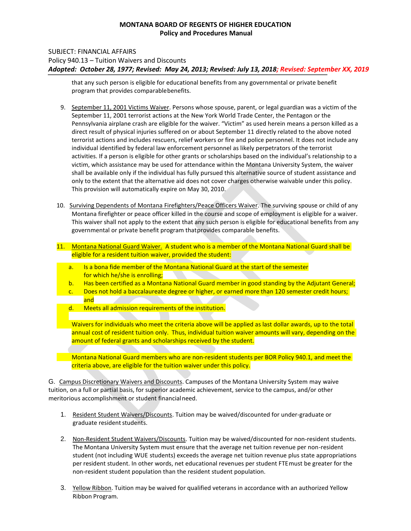### SUBJECT: FINANCIAL AFFAIRS

Policy 940.13 – Tuition Waivers and Discounts

 *Adopted: October 28, 1977; Revised: May 24, 2013; Revised: July 13, 2018; Revised: September XX, 2019* 

that any such person is eligible for educational benefits from any governmental or private benefit program that provides comparablebenefits.

- shall be available only if the individual has fully pursued this alternative source of student assistance and 9. September 11, 2001 Victims Waiver. Persons whose spouse, parent, or legal guardian was a victim of the September 11, 2001 terrorist actions at the New York World Trade Center, the Pentagon or the Pennsylvania airplane crash are eligible for the waiver. "Victim" as used herein means a person killed as a direct result of physical injuries suffered on or about September 11 directly related to the above noted terrorist actions and includes rescuers, relief workers or fire and police personnel. It does not include any individual identified by federal law enforcement personnel as likely perpetrators of the terrorist activities. If a person is eligible for other grants or scholarships based on the individual's relationship to a victim, which assistance may be used for attendance within the Montana University System, the waiver only to the extent that the alternative aid does not cover charges otherwise waivable under this policy. This provision will automatically expire on May 30, 2010.
- 10. Surviving Dependents of Montana Firefighters/Peace Officers Waiver. The surviving spouse or child of any Montana firefighter or peace officer killed in the course and scope of employment is eligible for a waiver. This waiver shall not apply to the extent that any such person is eligible for educational benefits from any governmental or private benefit program thatprovides comparable benefits.
- 11. Montana National Guard Waiver. A student who is a member of the Montana National Guard shall be eligible for a resident tuition waiver, provided the student:
	- a. Is a bona fide member of the Montana National Guard at the start of the semester for which he/she is enrolling;
	- b. Has been certified as a Montana National Guard member in good standing by the Adjutant General;
	- c. Does not hold a baccalaureate degree or higher, or earned more than 120 semester credit hours; and
	- d. Meets all admission requirements of the institution.

 Waivers for individuals who meet the criteria above will be applied as last dollar awards, up to the total annual cost of resident tuition only. Thus, individual tuition waiver amounts will vary, depending on the amount of federal grants and scholarships received by the student.

 Montana National Guard members who are non-resident students per BOR Policy 940.1, and meet the criteria above, are eligible for the tuition waiver under this policy.

G. Campus Discretionary Waivers and Discounts. Campuses of the Montana University System may waive tuition, on a full or partial basis, for superior academic achievement, service to the campus, and/or other meritorious accomplishment or student financialneed.

- 1. Resident Student Waivers/Discounts. Tuition may be waived/discounted for under-graduate or graduate resident students.
- 2. Non-Resident Student Waivers/Discounts. Tuition may be waived/discounted for non-resident students. The Montana University System must ensure that the average net tuition revenue per non-resident student (not including WUE students) exceeds the average net tuition revenue plus state appropriations per resident student. In other words, net educational revenues per student FTEmust be greater for the non-resident student population than the resident student population.
- 3. Yellow Ribbon. Tuition may be waived for qualified veterans in accordance with an authorized Yellow Ribbon Program.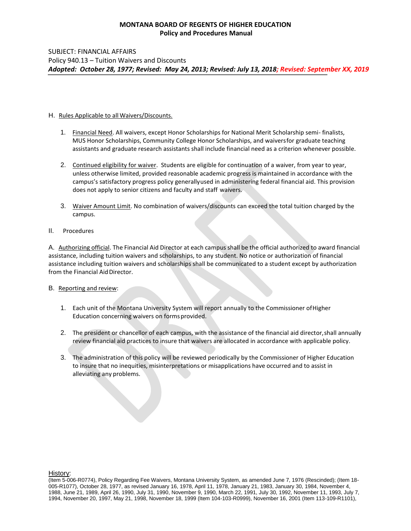#### H. Rules Applicable to all Waivers/Discounts.

- 1. Financial Need. All waivers, except Honor Scholarships for National Merit Scholarship semi- finalists, MUS Honor Scholarships, Community College Honor Scholarships, and waiversfor graduate teaching assistants and graduate research assistants shall include financial need as a criterion whenever possible.
- 2. Continued eligibility for waiver. Students are eligible for continuation of a waiver, from year to year, unless otherwise limited, provided reasonable academic progress is maintained in accordance with the campus's satisfactory progress policy generallyused in administering federal financial aid. This provision does not apply to senior citizens and faculty and staff waivers.
- 3. Waiver Amount Limit. No combination of waivers/discounts can exceed the total tuition charged by the campus.
- II. Procedures

A. Authorizing official. The Financial Aid Director at each campus shall be the official authorized to award financial assistance, including tuition waivers and scholarships, to any student. No notice or authorization of financial assistance including tuition waivers and scholarships shall be communicated to a student except by authorization from the Financial Aid Director.

#### B. Reporting and review:

- 1. Each unit of the Montana University System will report annually to the Commissioner ofHigher Education concerning waivers on forms provided.
- 2. The president or chancellor of each campus, with the assistance of the financial aid director,shall annually review financial aid practices to insure that waivers are allocated in accordance with applicable policy.
- 3. The administration of this policy will be reviewed periodically by the Commissioner of Higher Education to insure that no inequities, misinterpretations or misapplications have occurred and to assist in alleviating any problems.

History:

 (Item 5-006-R0774), Policy Regarding Fee Waivers, Montana University System, as amended June 7, 1976 (Rescinded); (Item 18- 005-R1077), October 28, 1977, as revised January 16, 1978, April 11, 1978, January 21, 1983, January 30, 1984, November 4, 1988, June 21, 1989, April 26, 1990, July 31, 1990, November 9, 1990, March 22, 1991, July 30, 1992, November 11, 1993, July 7, 1994, November 20, 1997, May 21, 1998, November 18, 1999 (Item 104-103-R0999), November 16, 2001 (Item 113-109-R1101),